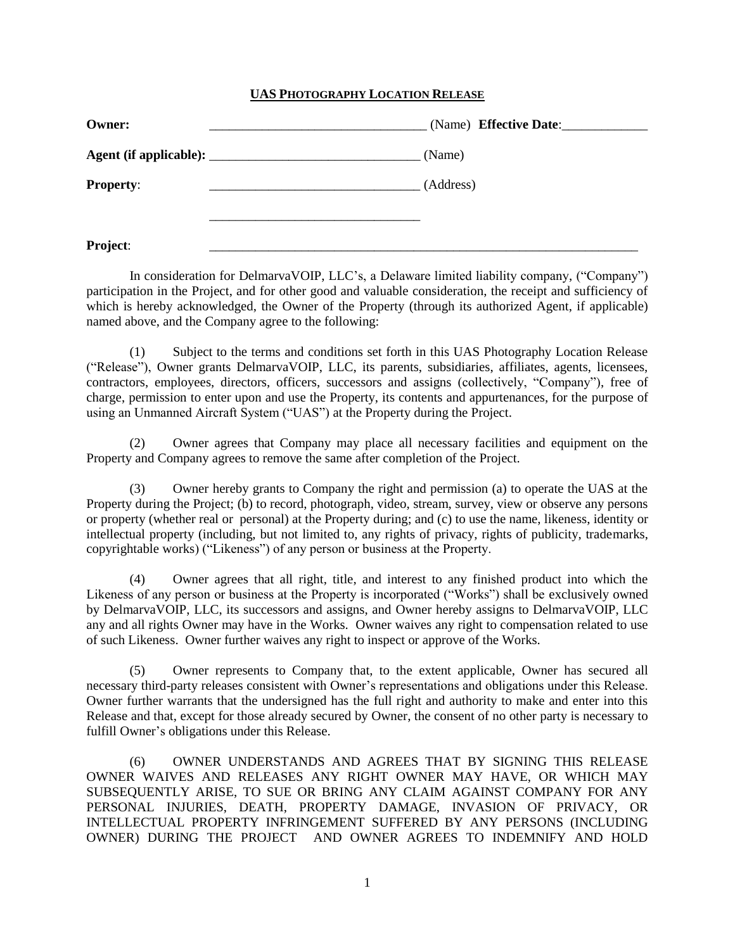## **UAS PHOTOGRAPHY LOCATION RELEASE**

| <b>Owner:</b>    | (Name) Effective Date: |
|------------------|------------------------|
|                  | (Name)                 |
| <b>Property:</b> | (Address)              |
|                  |                        |
| Project:         |                        |

In consideration for DelmarvaVOIP, LLC's, a Delaware limited liability company, ("Company") participation in the Project, and for other good and valuable consideration, the receipt and sufficiency of which is hereby acknowledged, the Owner of the Property (through its authorized Agent, if applicable) named above, and the Company agree to the following:

(1) Subject to the terms and conditions set forth in this UAS Photography Location Release ("Release"), Owner grants DelmarvaVOIP, LLC, its parents, subsidiaries, affiliates, agents, licensees, contractors, employees, directors, officers, successors and assigns (collectively, "Company"), free of charge, permission to enter upon and use the Property, its contents and appurtenances, for the purpose of using an Unmanned Aircraft System ("UAS") at the Property during the Project.

(2) Owner agrees that Company may place all necessary facilities and equipment on the Property and Company agrees to remove the same after completion of the Project.

(3) Owner hereby grants to Company the right and permission (a) to operate the UAS at the Property during the Project; (b) to record, photograph, video, stream, survey, view or observe any persons or property (whether real or personal) at the Property during; and (c) to use the name, likeness, identity or intellectual property (including, but not limited to, any rights of privacy, rights of publicity, trademarks, copyrightable works) ("Likeness") of any person or business at the Property.

(4) Owner agrees that all right, title, and interest to any finished product into which the Likeness of any person or business at the Property is incorporated ("Works") shall be exclusively owned by DelmarvaVOIP, LLC, its successors and assigns, and Owner hereby assigns to DelmarvaVOIP, LLC any and all rights Owner may have in the Works. Owner waives any right to compensation related to use of such Likeness. Owner further waives any right to inspect or approve of the Works.

(5) Owner represents to Company that, to the extent applicable, Owner has secured all necessary third-party releases consistent with Owner's representations and obligations under this Release. Owner further warrants that the undersigned has the full right and authority to make and enter into this Release and that, except for those already secured by Owner, the consent of no other party is necessary to fulfill Owner's obligations under this Release.

(6) OWNER UNDERSTANDS AND AGREES THAT BY SIGNING THIS RELEASE OWNER WAIVES AND RELEASES ANY RIGHT OWNER MAY HAVE, OR WHICH MAY SUBSEQUENTLY ARISE, TO SUE OR BRING ANY CLAIM AGAINST COMPANY FOR ANY PERSONAL INJURIES, DEATH, PROPERTY DAMAGE, INVASION OF PRIVACY, OR INTELLECTUAL PROPERTY INFRINGEMENT SUFFERED BY ANY PERSONS (INCLUDING OWNER) DURING THE PROJECT AND OWNER AGREES TO INDEMNIFY AND HOLD